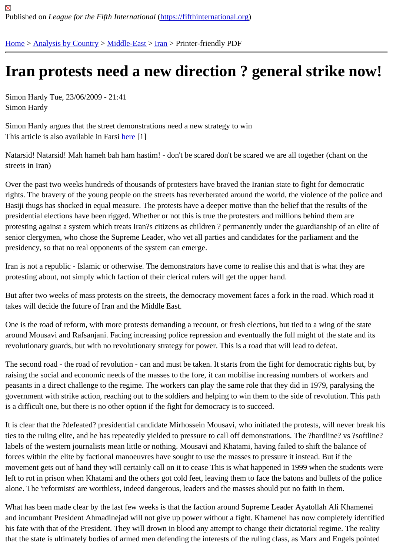## [Iran](https://fifthinternational.org/) [protests n](https://fifthinternational.org/category/1)[eed a](https://fifthinternational.org/category/1/178) [ne](https://fifthinternational.org/category/1/178/182)w direction ? general strike now!

Simon Hardy Tue, 23/06/2009 - 21:41 Simon Hardy

Simon Hardy argues that the street demonstrations need a new strategy to win This article is also available in Farsine[1]

Natarsid! Natarsid! Mah hameh bah ham hastim! - don't be scared don't be scared we are all together (chant on th streets in Iran)

Over the past two weeks hundreds of thousands of protesters have braved the Iranian state to fight for democratic rights. The bravery of the young people on the streets has reverberated around the world, the violence of the polic Basiji thugs has shocked in equal measure. The protests have a deeper motive than the belief that the results of th presidential elections have been rigged. Whether or not this is true the protesters and millions behind them are protesting against a system which treats Iran?s citizens as children ? permanently under the guardianship of an el senior clergymen, who chose the Supreme Leader, who vet all parties and candidates for the parliament and the presidency, so that no real opponents of the system can emerge.

Iran is not a republic - Islamic or otherwise. The demonstrators have come to realise this and that is what they are protesting about, not simply which faction of their clerical rulers will get the upper hand.

But after two weeks of mass protests on the streets, the democracy movement faces a fork in the road. Which roa takes will decide the future of Iran and the Middle East.

One is the road of reform, with more protests demanding a recount, or fresh elections, but tied to a wing of the stat around Mousavi and Rafsanjani. Facing increasing police repression and eventually the full might of the state and revolutionary guards, but with no revolutionary strategy for power. This is a road that will lead to defeat.

The second road - the road of revolution - can and must be taken. It starts from the fight for democratic rights but, raising the social and economic needs of the masses to the fore, it can mobilise increasing numbers of workers an peasants in a direct challenge to the regime. The workers can play the same role that they did in 1979, paralysing government with strike action, reaching out to the soldiers and helping to win them to the side of revolution. This p is a difficult one, but there is no other option if the fight for democracy is to succeed.

It is clear that the ?defeated? presidential candidate Mirhossein Mousavi, who initiated the protests, will never brea ties to the ruling elite, and he has repeatedly yielded to pressure to call off demonstrations. The ?hardline? vs ?sof labels of the western journalists mean little or nothing. Mousavi and Khatami, having failed to shift the balance of forces within the elite by factional manoeuvres have sought to use the masses to pressure it instead. But if the movement gets out of hand they will certainly call on it to cease This is what happened in 1999 when the students left to rot in prison when Khatami and the others got cold feet, leaving them to face the batons and bullets of the po alone. The 'reformists' are worthless, indeed dangerous, leaders and the masses should put no faith in them.

What has been made clear by the last few weeks is that the faction around Supreme Leader Ayatollah Ali Khamer and incumbant President Ahmadinejad will not give up power without a fight. Khamenei has now completely identi his fate with that of the President. They will drown in blood any attempt to change their dictatorial regime. The real that the state is ultimately bodies of armed men defending the interests of the ruling class, as Marx and Engels poi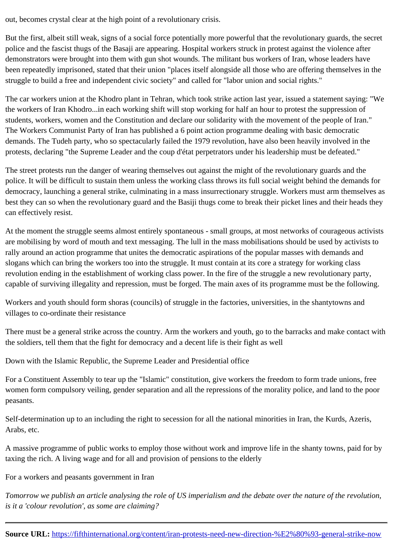But the first, albeit still weak, signs of a social force potentially more powerful that the revolutionary guards, the see police and the fascist thugs of the Basaji are appearing. Hospital workers struck in protest against the violence afte demonstrators were brought into them with gun shot wounds. The militant bus workers of Iran, whose leaders have been repeatedly imprisoned, stated that their union "places itself alongside all those who are offering themselves i struggle to build a free and independent civic society" and called for "labor union and social rights."

The car workers union at the Khodro plant in Tehran, which took strike action last year, issued a statement saying the workers of Iran Khodro...in each working shift will stop working for half an hour to protest the suppression of students, workers, women and the Constitution and declare our solidarity with the movement of the people of Iran. The Workers Communist Party of Iran has published a 6 point action programme dealing with basic democratic demands. The Tudeh party, who so spectacularly failed the 1979 revolution, have also been heavily involved in the protests, declaring "the Supreme Leader and the coup d'état perpetrators under his leadership must be defeated."

The street protests run the danger of wearing themselves out against the might of the revolutionary guards and the police. It will be difficult to sustain them unless the working class throws its full social weight behind the demands f democracy, launching a general strike, culminating in a mass insurrectionary struggle. Workers must arm themsel best they can so when the revolutionary guard and the Basiji thugs come to break their picket lines and their head can effectively resist.

At the moment the struggle seems almost entirely spontaneous - small groups, at most networks of courageous ad are mobilising by word of mouth and text messaging. The lull in the mass mobilisations should be used by activists rally around an action programme that unites the democratic aspirations of the popular masses with demands and slogans which can bring the workers too into the struggle. It must contain at its core a strategy for working class revolution ending in the establishment of working class power. In the fire of the struggle a new revolutionary party, capable of surviving illegality and repression, must be forged. The main axes of its programme must be the followi

Workers and youth should form shoras (councils) of struggle in the factories, universities, in the shantytowns and villages to co-ordinate their resistance

There must be a general strike across the country. Arm the workers and youth, go to the barracks and make conta the soldiers, tell them that the fight for democracy and a decent life is their fight as well

Down with the Islamic Republic, the Supreme Leader and Presidential office

For a Constituent Assembly to tear up the "Islamic" constitution, give workers the freedom to form trade unions, fre women form compulsory veiling, gender separation and all the repressions of the morality police, and land to the p peasants.

Self-determination up to an including the right to secession for all the national minorities in Iran, the Kurds, Azeris, Arabs, etc.

A massive programme of public works to employ those without work and improve life in the shanty towns, paid for by taxing the rich. A living wage and for all and provision of pensions to the elderly

For a workers and peasants government in Iran

Tomorrow we publish an article analysing the role of US imperialism and the debate over the nature of the revoluti is it a 'colour revolution', as some are claiming?